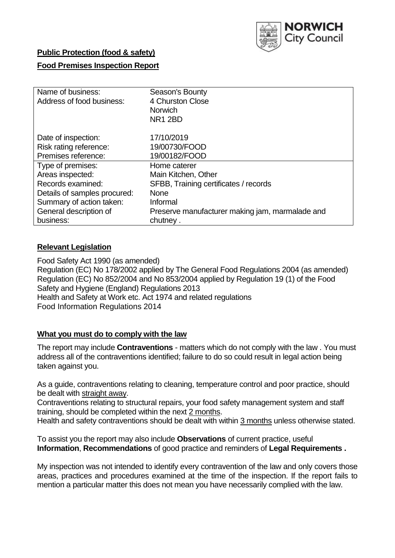

### **Public Protection (food & safety)**

### **Food Premises Inspection Report**

| Name of business:            | Season's Bounty                                 |
|------------------------------|-------------------------------------------------|
| Address of food business:    | 4 Churston Close                                |
|                              | <b>Norwich</b>                                  |
|                              | NR <sub>1</sub> 2BD                             |
| Date of inspection:          | 17/10/2019                                      |
| Risk rating reference:       | 19/00730/FOOD                                   |
| Premises reference:          | 19/00182/FOOD                                   |
| Type of premises:            | Home caterer                                    |
| Areas inspected:             | Main Kitchen, Other                             |
| Records examined:            | SFBB, Training certificates / records           |
| Details of samples procured: | <b>None</b>                                     |
| Summary of action taken:     | Informal                                        |
| General description of       | Preserve manufacturer making jam, marmalade and |
| business:                    | chutney.                                        |

### **Relevant Legislation**

Food Safety Act 1990 (as amended) Regulation (EC) No 178/2002 applied by The General Food Regulations 2004 (as amended) Regulation (EC) No 852/2004 and No 853/2004 applied by Regulation 19 (1) of the Food Safety and Hygiene (England) Regulations 2013 Health and Safety at Work etc. Act 1974 and related regulations Food Information Regulations 2014

### **What you must do to comply with the law**

The report may include **Contraventions** - matters which do not comply with the law . You must address all of the contraventions identified; failure to do so could result in legal action being taken against you.

As a guide, contraventions relating to cleaning, temperature control and poor practice, should be dealt with straight away.

Contraventions relating to structural repairs, your food safety management system and staff training, should be completed within the next 2 months.

Health and safety contraventions should be dealt with within 3 months unless otherwise stated.

To assist you the report may also include **Observations** of current practice, useful **Information**, **Recommendations** of good practice and reminders of **Legal Requirements .**

My inspection was not intended to identify every contravention of the law and only covers those areas, practices and procedures examined at the time of the inspection. If the report fails to mention a particular matter this does not mean you have necessarily complied with the law.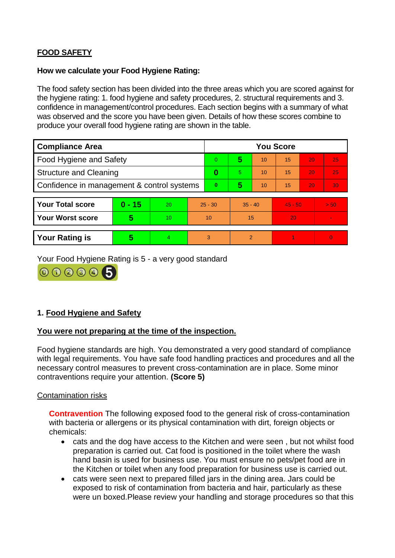# **FOOD SAFETY**

#### **How we calculate your Food Hygiene Rating:**

The food safety section has been divided into the three areas which you are scored against for the hygiene rating: 1. food hygiene and safety procedures, 2. structural requirements and 3. confidence in management/control procedures. Each section begins with a summary of what was observed and the score you have been given. Details of how these scores combine to produce your overall food hygiene rating are shown in the table.

| <b>Compliance Area</b>                     |          |    |           | <b>You Score</b> |                |    |           |    |          |  |  |
|--------------------------------------------|----------|----|-----------|------------------|----------------|----|-----------|----|----------|--|--|
| Food Hygiene and Safety                    |          |    |           | $\Omega$         | 5              | 10 | 15        | 20 | 25       |  |  |
| <b>Structure and Cleaning</b>              |          |    | 0         | 5.               | 10             | 15 | 20        | 25 |          |  |  |
| Confidence in management & control systems |          |    | $\bf{0}$  | 5                | 10             | 15 | 20        | 30 |          |  |  |
|                                            |          |    |           |                  |                |    |           |    |          |  |  |
| <b>Your Total score</b>                    | $0 - 15$ | 20 | $25 - 30$ |                  | $35 - 40$      |    | $45 - 50$ |    | > 50     |  |  |
| <b>Your Worst score</b>                    | 5        | 10 | 10        |                  | 15             |    | 20        |    |          |  |  |
|                                            |          |    |           |                  |                |    |           |    |          |  |  |
| <b>Your Rating is</b>                      | 5        | 4  | 3         |                  | $\overline{2}$ |    |           |    | $\Omega$ |  |  |

Your Food Hygiene Rating is 5 - a very good standard



## **1. Food Hygiene and Safety**

### **You were not preparing at the time of the inspection.**

Food hygiene standards are high. You demonstrated a very good standard of compliance with legal requirements. You have safe food handling practices and procedures and all the necessary control measures to prevent cross-contamination are in place. Some minor contraventions require your attention. **(Score 5)**

### Contamination risks

**Contravention** The following exposed food to the general risk of cross-contamination with bacteria or allergens or its physical contamination with dirt, foreign objects or chemicals:

- cats and the dog have access to the Kitchen and were seen , but not whilst food preparation is carried out. Cat food is positioned in the toilet where the wash hand basin is used for business use. You must ensure no pets/pet food are in the Kitchen or toilet when any food preparation for business use is carried out.
- cats were seen next to prepared filled jars in the dining area. Jars could be exposed to risk of contamination from bacteria and hair, particularly as these were un boxed.Please review your handling and storage procedures so that this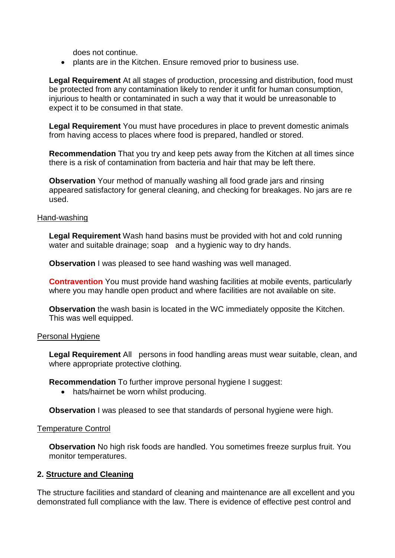does not continue.

• plants are in the Kitchen. Ensure removed prior to business use.

**Legal Requirement** At all stages of production, processing and distribution, food must be protected from any contamination likely to render it unfit for human consumption, injurious to health or contaminated in such a way that it would be unreasonable to expect it to be consumed in that state.

**Legal Requirement** You must have procedures in place to prevent domestic animals from having access to places where food is prepared, handled or stored.

**Recommendation** That you try and keep pets away from the Kitchen at all times since there is a risk of contamination from bacteria and hair that may be left there.

**Observation** Your method of manually washing all food grade jars and rinsing appeared satisfactory for general cleaning, and checking for breakages. No jars are re used.

### Hand-washing

**Legal Requirement** Wash hand basins must be provided with hot and cold running water and suitable drainage; soap and a hygienic way to dry hands.

**Observation** I was pleased to see hand washing was well managed.

**Contravention** You must provide hand washing facilities at mobile events, particularly where you may handle open product and where facilities are not available on site.

**Observation** the wash basin is located in the WC immediately opposite the Kitchen. This was well equipped.

### Personal Hygiene

**Legal Requirement** All persons in food handling areas must wear suitable, clean, and where appropriate protective clothing.

**Recommendation** To further improve personal hygiene I suggest:

• hats/hairnet be worn whilst producing.

**Observation** I was pleased to see that standards of personal hygiene were high.

#### Temperature Control

**Observation** No high risk foods are handled. You sometimes freeze surplus fruit. You monitor temperatures.

### **2. Structure and Cleaning**

The structure facilities and standard of cleaning and maintenance are all excellent and you demonstrated full compliance with the law. There is evidence of effective pest control and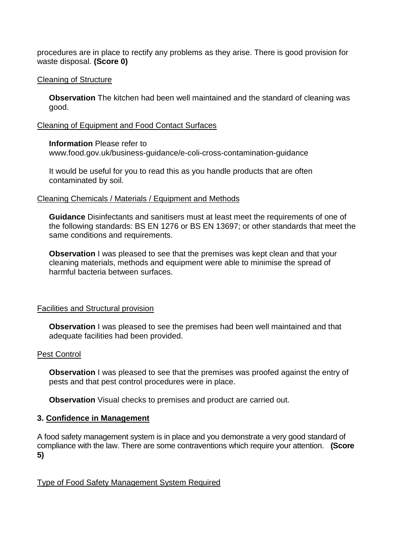procedures are in place to rectify any problems as they arise. There is good provision for waste disposal. **(Score 0)**

### Cleaning of Structure

**Observation** The kitchen had been well maintained and the standard of cleaning was good.

### Cleaning of Equipment and Food Contact Surfaces

### **Information** Please refer to

www.food.gov.uk/business-guidance/e-coli-cross-contamination-guidance

It would be useful for you to read this as you handle products that are often contaminated by soil.

#### Cleaning Chemicals / Materials / Equipment and Methods

**Guidance** Disinfectants and sanitisers must at least meet the requirements of one of the following standards: BS EN 1276 or BS EN 13697; or other standards that meet the same conditions and requirements.

**Observation** I was pleased to see that the premises was kept clean and that your cleaning materials, methods and equipment were able to minimise the spread of harmful bacteria between surfaces.

### Facilities and Structural provision

**Observation** I was pleased to see the premises had been well maintained and that adequate facilities had been provided.

### Pest Control

**Observation** I was pleased to see that the premises was proofed against the entry of pests and that pest control procedures were in place.

**Observation** Visual checks to premises and product are carried out.

### **3. Confidence in Management**

A food safety management system is in place and you demonstrate a very good standard of compliance with the law. There are some contraventions which require your attention. **(Score 5)**

## Type of Food Safety Management System Required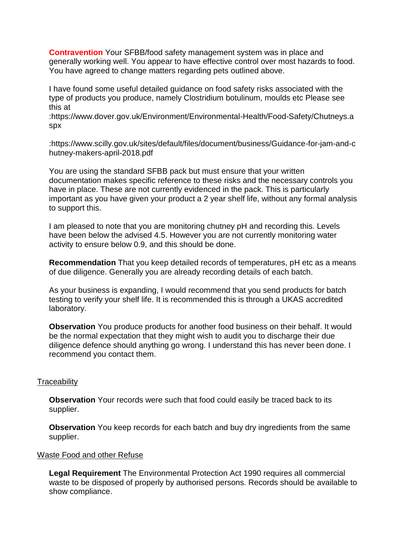**Contravention** Your SFBB/food safety management system was in place and generally working well. You appear to have effective control over most hazards to food. You have agreed to change matters regarding pets outlined above.

I have found some useful detailed guidance on food safety risks associated with the type of products you produce, namely Clostridium botulinum, moulds etc Please see this at

:https://www.dover.gov.uk/Environment/Environmental-Health/Food-Safety/Chutneys.a spx

:https://www.scilly.gov.uk/sites/default/files/document/business/Guidance-for-jam-and-c hutney-makers-april-2018.pdf

You are using the standard SFBB pack but must ensure that your written documentation makes specific reference to these risks and the necessary controls you have in place. These are not currently evidenced in the pack. This is particularly important as you have given your product a 2 year shelf life, without any formal analysis to support this.

I am pleased to note that you are monitoring chutney pH and recording this. Levels have been below the advised 4.5. However you are not currently monitoring water activity to ensure below 0.9, and this should be done.

**Recommendation** That you keep detailed records of temperatures, pH etc as a means of due diligence. Generally you are already recording details of each batch.

As your business is expanding, I would recommend that you send products for batch testing to verify your shelf life. It is recommended this is through a UKAS accredited laboratory.

**Observation** You produce products for another food business on their behalf. It would be the normal expectation that they might wish to audit you to discharge their due diligence defence should anything go wrong. I understand this has never been done. I recommend you contact them.

### **Traceability**

**Observation** Your records were such that food could easily be traced back to its supplier.

**Observation** You keep records for each batch and buy dry ingredients from the same supplier.

#### Waste Food and other Refuse

**Legal Requirement** The Environmental Protection Act 1990 requires all commercial waste to be disposed of properly by authorised persons. Records should be available to show compliance.